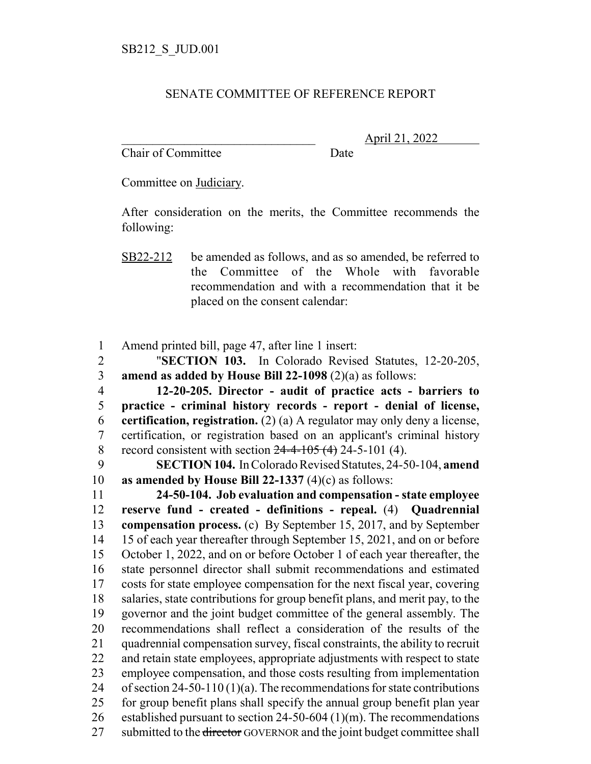## SENATE COMMITTEE OF REFERENCE REPORT

Chair of Committee Date

\_\_\_\_\_\_\_\_\_\_\_\_\_\_\_\_\_\_\_\_\_\_\_\_\_\_\_\_\_\_\_ April 21, 2022

Committee on Judiciary.

After consideration on the merits, the Committee recommends the following:

SB22-212 be amended as follows, and as so amended, be referred to the Committee of the Whole with favorable recommendation and with a recommendation that it be placed on the consent calendar:

Amend printed bill, page 47, after line 1 insert:

 "**SECTION 103.** In Colorado Revised Statutes, 12-20-205, **amend as added by House Bill 22-1098** (2)(a) as follows:

 **12-20-205. Director - audit of practice acts - barriers to practice - criminal history records - report - denial of license, certification, registration.** (2) (a) A regulator may only deny a license, certification, or registration based on an applicant's criminal history 8 record consistent with section  $24-4-105(4)$  24-5-101 (4).

 **SECTION 104.** In Colorado Revised Statutes, 24-50-104, **amend as amended by House Bill 22-1337** (4)(c) as follows:

 **24-50-104. Job evaluation and compensation - state employee reserve fund - created - definitions - repeal.** (4) **Quadrennial compensation process.** (c) By September 15, 2017, and by September 15 of each year thereafter through September 15, 2021, and on or before October 1, 2022, and on or before October 1 of each year thereafter, the state personnel director shall submit recommendations and estimated costs for state employee compensation for the next fiscal year, covering salaries, state contributions for group benefit plans, and merit pay, to the governor and the joint budget committee of the general assembly. The recommendations shall reflect a consideration of the results of the quadrennial compensation survey, fiscal constraints, the ability to recruit and retain state employees, appropriate adjustments with respect to state employee compensation, and those costs resulting from implementation 24 of section 24-50-110 (1)(a). The recommendations for state contributions for group benefit plans shall specify the annual group benefit plan year 26 established pursuant to section 24-50-604 (1)(m). The recommendations 27 submitted to the <del>director</del> GOVERNOR and the joint budget committee shall